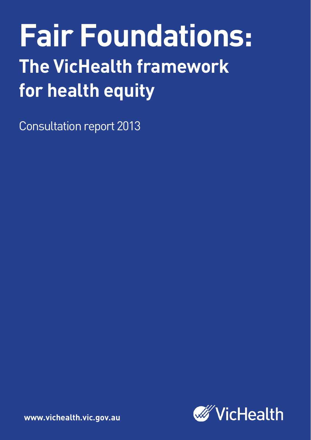# **Fair Foundations: The VicHealth framework for health equity**

Consultation report 2013



**www.vichealth.vic.gov.au**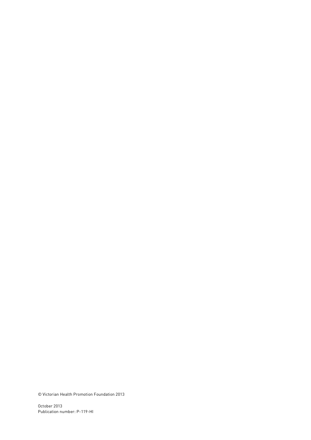© Victorian Health Promotion Foundation 2013

October 2013 Publication number: P-119-HI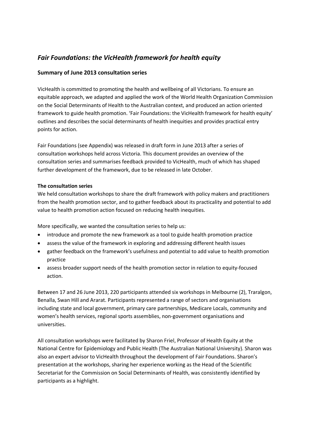### *Fair Foundations: the VicHealth framework for health equity*

#### **Summary of June 2013 consultation series**

VicHealth is committed to promoting the health and wellbeing of all Victorians. To ensure an equitable approach, we adapted and applied the work of the World Health Organization Commission on the Social Determinants of Health to the Australian context, and produced an action oriented framework to guide health promotion. 'Fair Foundations: the VicHealth framework for health equity' outlines and describes the social determinants of health inequities and provides practical entry points for action.

Fair Foundations (see Appendix) was released in draft form in June 2013 after a series of consultation workshops held across Victoria. This document provides an overview of the consultation series and summarises feedback provided to VicHealth, much of which has shaped further development of the framework, due to be released in late October.

#### **The consultation series**

We held consultation workshops to share the draft framework with policy makers and practitioners from the health promotion sector, and to gather feedback about its practicality and potential to add value to health promotion action focused on reducing health inequities.

More specifically, we wanted the consultation series to help us:

- introduce and promote the new framework as a tool to guide health promotion practice
- assess the value of the framework in exploring and addressing different health issues
- gather feedback on the framework's usefulness and potential to add value to health promotion practice
- assess broader support needs of the health promotion sector in relation to equity-focused action.

Between 17 and 26 June 2013, 220 participants attended six workshops in Melbourne (2), Traralgon, Benalla, Swan Hill and Ararat. Participants represented a range of sectors and organisations including state and local government, primary care partnerships, Medicare Locals, community and women's health services, regional sports assemblies, non-government organisations and universities.

All consultation workshops were facilitated by Sharon Friel, Professor of Health Equity at the National Centre for Epidemiology and Public Health (The Australian National University). Sharon was also an expert advisor to VicHealth throughout the development of Fair Foundations. Sharon's presentation at the workshops, sharing her experience working as the Head of the Scientific Secretariat for the Commission on Social Determinants of Health, was consistently identified by participants as a highlight.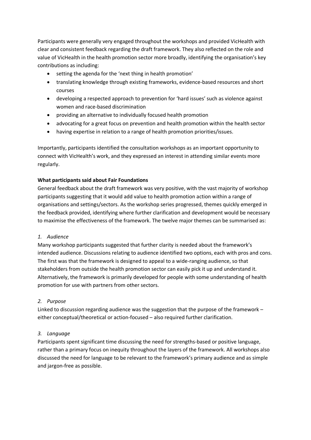Participants were generally very engaged throughout the workshops and provided VicHealth with clear and consistent feedback regarding the draft framework. They also reflected on the role and value of VicHealth in the health promotion sector more broadly, identifying the organisation's key contributions as including:

- setting the agenda for the 'next thing in health promotion'
- translating knowledge through existing frameworks, evidence-based resources and short courses
- developing a respected approach to prevention for 'hard issues' such as violence against women and race-based discrimination
- providing an alternative to individually focused health promotion
- advocating for a great focus on prevention and health promotion within the health sector
- having expertise in relation to a range of health promotion priorities/issues.

Importantly, participants identified the consultation workshops as an important opportunity to connect with VicHealth's work, and they expressed an interest in attending similar events more regularly.

#### **What participants said about Fair Foundations**

General feedback about the draft framework was very positive, with the vast majority of workshop participants suggesting that it would add value to health promotion action within a range of organisations and settings/sectors. As the workshop series progressed, themes quickly emerged in the feedback provided, identifying where further clarification and development would be necessary to maximise the effectiveness of the framework. The twelve major themes can be summarised as:

#### *1. Audience*

Many workshop participants suggested that further clarity is needed about the framework's intended audience. Discussions relating to audience identified two options, each with pros and cons. The first was that the framework is designed to appeal to a wide-ranging audience, so that stakeholders from outside the health promotion sector can easily pick it up and understand it. Alternatively, the framework is primarily developed for people with some understanding of health promotion for use with partners from other sectors.

#### *2. Purpose*

Linked to discussion regarding audience was the suggestion that the purpose of the framework – either conceptual/theoretical or action-focused – also required further clarification.

#### *3. Language*

Participants spent significant time discussing the need for strengths-based or positive language, rather than a primary focus on inequity throughout the layers of the framework. All workshops also discussed the need for language to be relevant to the framework's primary audience and as simple and jargon-free as possible.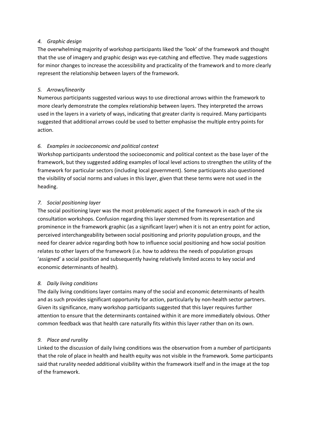#### *4. Graphic design*

The overwhelming majority of workshop participants liked the 'look' of the framework and thought that the use of imagery and graphic design was eye-catching and effective. They made suggestions for minor changes to increase the accessibility and practicality of the framework and to more clearly represent the relationship between layers of the framework.

#### *5. Arrows/linearity*

Numerous participants suggested various ways to use directional arrows within the framework to more clearly demonstrate the complex relationship between layers. They interpreted the arrows used in the layers in a variety of ways, indicating that greater clarity is required. Many participants suggested that additional arrows could be used to better emphasise the multiple entry points for action.

#### *6. Examples in socioeconomic and political context*

Workshop participants understood the socioeconomic and political context as the base layer of the framework, but they suggested adding examples of local level actions to strengthen the utility of the framework for particular sectors (including local government). Some participants also questioned the visibility of social norms and values in this layer, given that these terms were not used in the heading.

#### *7. Social positioning layer*

The social positioning layer was the most problematic aspect of the framework in each of the six consultation workshops. Confusion regarding this layer stemmed from its representation and prominence in the framework graphic (as a significant layer) when it is not an entry point for action, perceived interchangeability between social positioning and priority population groups, and the need for clearer advice regarding both how to influence social positioning and how social position relates to other layers of the framework (i.e. how to address the needs of population groups 'assigned' a social position and subsequently having relatively limited access to key social and economic determinants of health).

#### *8. Daily living conditions*

The daily living conditions layer contains many of the social and economic determinants of health and as such provides significant opportunity for action, particularly by non-health sector partners. Given its significance, many workshop participants suggested that this layer requires further attention to ensure that the determinants contained within it are more immediately obvious. Other common feedback was that health care naturally fits within this layer rather than on its own.

#### *9. Place and rurality*

Linked to the discussion of daily living conditions was the observation from a number of participants that the role of place in health and health equity was not visible in the framework. Some participants said that rurality needed additional visibility within the framework itself and in the image at the top of the framework.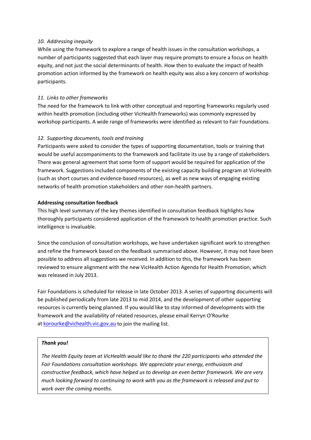#### *10. Addressing inequity*

While using the framework to explore a range of health issues in the consultation workshops, a number of participants suggested that each layer may require prompts to ensure a focus on health equity, and not just the social determinants of health. How then to evaluate the impact of health promotion action informed by the framework on health equity was also a key concern of workshop participants.

#### *11. Links to other frameworks*

The need for the framework to link with other conceptual and reporting frameworks regularly used within health promotion (including other VicHealth frameworks) was commonly expressed by workshop participants. A wide range of frameworks were identified as relevant to Fair Foundations*.*

#### *12. Supporting documents, tools and training*

Participants were asked to consider the types of supporting documentation, tools or training that would be useful accompaniments to the framework and facilitate its use by a range of stakeholders. There was general agreement that some form of support would be required for application of the framework. Suggestions included components of the existing capacity building program at VicHealth (such as short courses and evidence-based resources), as well as new ways of engaging existing networks of health promotion stakeholders and other non-health partners.

#### **Addressing consultation feedback**

This high level summary of the key themes identified in consultation feedback highlights how thoroughly participants considered application of the framework to health promotion practice. Such intelligence is invaluable.

Since the conclusion of consultation workshops, we have undertaken significant work to strengthen and refine the framework based on the feedback summarised above. However, it may not have been possible to address all suggestions we received. In addition to this, the framework has been reviewed to ensure alignment with the new VicHealth Action Agenda for Health Promotion, which was released in July 2013.

Fair Foundations is scheduled for release in late October 2013. A series of supporting documents will be published periodically from late 2013 to mid 2014, and the development of other supporting resources is currently being planned. If you would like to stay informed of developments with the framework and the availability of related resources, please email Kerryn O'Rourke at [korourke@vichealth.vic.gov.au](mailto:korourke@vichealth.vic.gov.au) to join the mailing list.

#### *Thank you!*

*The Health Equity team at VicHealth would like to thank the 220 participants who attended the Fair Foundations consultation workshops. We appreciate your energy, enthusiasm and constructive feedback, which have helped us to develop an even better framework. We are very much looking forward to continuing to work with you as the framework is released and put to work over the coming months.*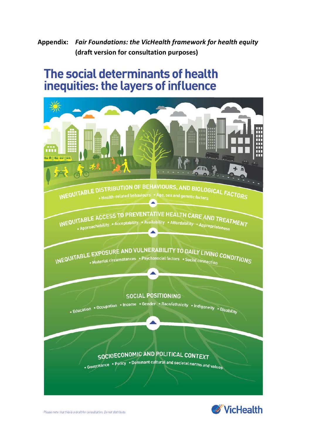**Appendix:** *Fair Foundations: the VicHealth framework for health equity* **(draft version for consultation purposes)**

## The social determinants of health inequities: the layers of influence





Please note that this is a draft for consultation. Do not distribute.